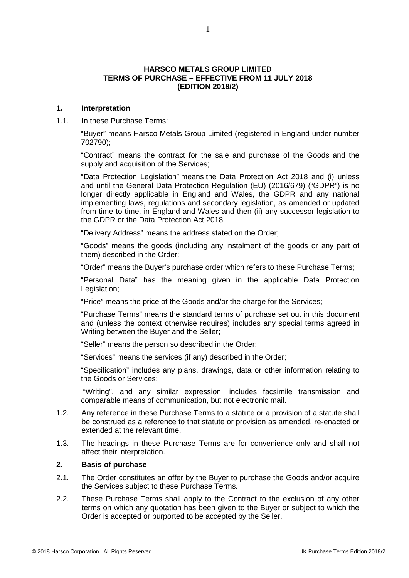#### **HARSCO METALS GROUP LIMITED TERMS OF PURCHASE – EFFECTIVE FROM 11 JULY 2018 (EDITION 2018/2)**

#### **1. Interpretation**

1.1. In these Purchase Terms:

"Buyer" means Harsco Metals Group Limited (registered in England under number 702790);

"Contract" means the contract for the sale and purchase of the Goods and the supply and acquisition of the Services;

"Data Protection Legislation" means the Data Protection Act 2018 and (i) unless and until the General Data Protection Regulation (EU) (2016/679) ("GDPR") is no longer directly applicable in England and Wales, the GDPR and any national implementing laws, regulations and secondary legislation, as amended or updated from time to time, in England and Wales and then (ii) any successor legislation to the GDPR or the Data Protection Act 2018;

"Delivery Address" means the address stated on the Order;

"Goods" means the goods (including any instalment of the goods or any part of them) described in the Order;

"Order" means the Buyer's purchase order which refers to these Purchase Terms;

"Personal Data" has the meaning given in the applicable Data Protection Legislation;

"Price" means the price of the Goods and/or the charge for the Services;

"Purchase Terms" means the standard terms of purchase set out in this document and (unless the context otherwise requires) includes any special terms agreed in Writing between the Buyer and the Seller;

"Seller" means the person so described in the Order;

"Services" means the services (if any) described in the Order;

"Specification" includes any plans, drawings, data or other information relating to the Goods or Services;

"Writing", and any similar expression, includes facsimile transmission and comparable means of communication, but not electronic mail.

- 1.2. Any reference in these Purchase Terms to a statute or a provision of a statute shall be construed as a reference to that statute or provision as amended, re-enacted or extended at the relevant time.
- 1.3. The headings in these Purchase Terms are for convenience only and shall not affect their interpretation.

#### **2. Basis of purchase**

- 2.1. The Order constitutes an offer by the Buyer to purchase the Goods and/or acquire the Services subject to these Purchase Terms.
- 2.2. These Purchase Terms shall apply to the Contract to the exclusion of any other terms on which any quotation has been given to the Buyer or subject to which the Order is accepted or purported to be accepted by the Seller.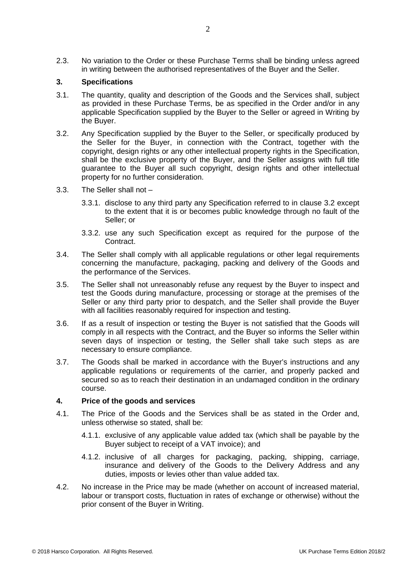2.3. No variation to the Order or these Purchase Terms shall be binding unless agreed in writing between the authorised representatives of the Buyer and the Seller.

# **3. Specifications**

- 3.1. The quantity, quality and description of the Goods and the Services shall, subject as provided in these Purchase Terms, be as specified in the Order and/or in any applicable Specification supplied by the Buyer to the Seller or agreed in Writing by the Buyer.
- 3.2. Any Specification supplied by the Buyer to the Seller, or specifically produced by the Seller for the Buyer, in connection with the Contract, together with the copyright, design rights or any other intellectual property rights in the Specification, shall be the exclusive property of the Buyer, and the Seller assigns with full title guarantee to the Buyer all such copyright, design rights and other intellectual property for no further consideration.
- 3.3. The Seller shall not
	- 3.3.1. disclose to any third party any Specification referred to in clause 3.2 except to the extent that it is or becomes public knowledge through no fault of the Seller; or
	- 3.3.2. use any such Specification except as required for the purpose of the Contract.
- 3.4. The Seller shall comply with all applicable regulations or other legal requirements concerning the manufacture, packaging, packing and delivery of the Goods and the performance of the Services.
- 3.5. The Seller shall not unreasonably refuse any request by the Buyer to inspect and test the Goods during manufacture, processing or storage at the premises of the Seller or any third party prior to despatch, and the Seller shall provide the Buyer with all facilities reasonably required for inspection and testing.
- 3.6. If as a result of inspection or testing the Buyer is not satisfied that the Goods will comply in all respects with the Contract, and the Buyer so informs the Seller within seven days of inspection or testing, the Seller shall take such steps as are necessary to ensure compliance.
- 3.7. The Goods shall be marked in accordance with the Buyer's instructions and any applicable regulations or requirements of the carrier, and properly packed and secured so as to reach their destination in an undamaged condition in the ordinary course.

#### **4. Price of the goods and services**

- 4.1. The Price of the Goods and the Services shall be as stated in the Order and, unless otherwise so stated, shall be:
	- 4.1.1. exclusive of any applicable value added tax (which shall be payable by the Buyer subject to receipt of a VAT invoice); and
	- 4.1.2. inclusive of all charges for packaging, packing, shipping, carriage, insurance and delivery of the Goods to the Delivery Address and any duties, imposts or levies other than value added tax.
- 4.2. No increase in the Price may be made (whether on account of increased material, labour or transport costs, fluctuation in rates of exchange or otherwise) without the prior consent of the Buyer in Writing.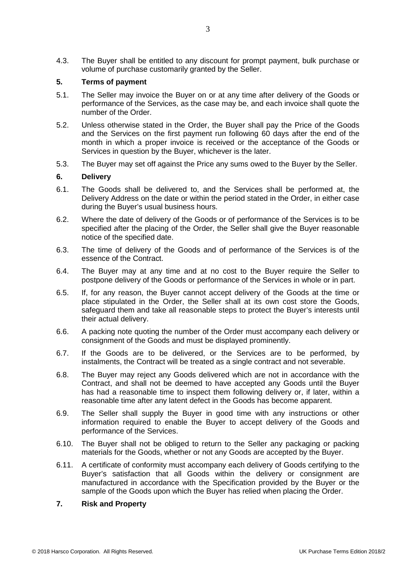4.3. The Buyer shall be entitled to any discount for prompt payment, bulk purchase or volume of purchase customarily granted by the Seller.

### **5. Terms of payment**

- 5.1. The Seller may invoice the Buyer on or at any time after delivery of the Goods or performance of the Services, as the case may be, and each invoice shall quote the number of the Order.
- 5.2. Unless otherwise stated in the Order, the Buyer shall pay the Price of the Goods and the Services on the first payment run following 60 days after the end of the month in which a proper invoice is received or the acceptance of the Goods or Services in question by the Buyer, whichever is the later.
- 5.3. The Buyer may set off against the Price any sums owed to the Buyer by the Seller.

# **6. Delivery**

- 6.1. The Goods shall be delivered to, and the Services shall be performed at, the Delivery Address on the date or within the period stated in the Order, in either case during the Buyer's usual business hours.
- 6.2. Where the date of delivery of the Goods or of performance of the Services is to be specified after the placing of the Order, the Seller shall give the Buyer reasonable notice of the specified date.
- 6.3. The time of delivery of the Goods and of performance of the Services is of the essence of the Contract.
- 6.4. The Buyer may at any time and at no cost to the Buyer require the Seller to postpone delivery of the Goods or performance of the Services in whole or in part.
- 6.5. If, for any reason, the Buyer cannot accept delivery of the Goods at the time or place stipulated in the Order, the Seller shall at its own cost store the Goods, safeguard them and take all reasonable steps to protect the Buyer's interests until their actual delivery.
- 6.6. A packing note quoting the number of the Order must accompany each delivery or consignment of the Goods and must be displayed prominently.
- 6.7. If the Goods are to be delivered, or the Services are to be performed, by instalments, the Contract will be treated as a single contract and not severable.
- 6.8. The Buyer may reject any Goods delivered which are not in accordance with the Contract, and shall not be deemed to have accepted any Goods until the Buyer has had a reasonable time to inspect them following delivery or, if later, within a reasonable time after any latent defect in the Goods has become apparent.
- 6.9. The Seller shall supply the Buyer in good time with any instructions or other information required to enable the Buyer to accept delivery of the Goods and performance of the Services.
- 6.10. The Buyer shall not be obliged to return to the Seller any packaging or packing materials for the Goods, whether or not any Goods are accepted by the Buyer.
- 6.11. A certificate of conformity must accompany each delivery of Goods certifying to the Buyer's satisfaction that all Goods within the delivery or consignment are manufactured in accordance with the Specification provided by the Buyer or the sample of the Goods upon which the Buyer has relied when placing the Order.

### **7. Risk and Property**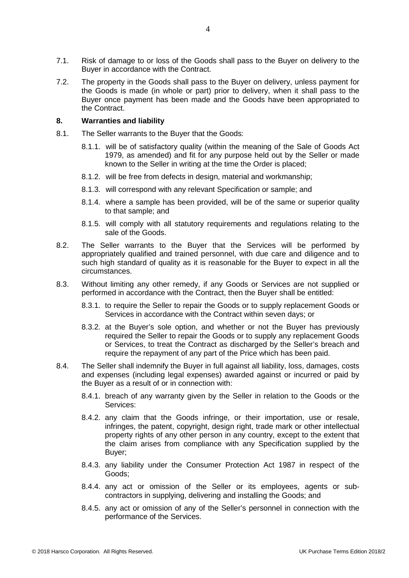- 7.1. Risk of damage to or loss of the Goods shall pass to the Buyer on delivery to the Buyer in accordance with the Contract.
- 7.2. The property in the Goods shall pass to the Buyer on delivery, unless payment for the Goods is made (in whole or part) prior to delivery, when it shall pass to the Buyer once payment has been made and the Goods have been appropriated to the Contract.

### **8. Warranties and liability**

- 8.1. The Seller warrants to the Buyer that the Goods:
	- 8.1.1. will be of satisfactory quality (within the meaning of the Sale of Goods Act 1979, as amended) and fit for any purpose held out by the Seller or made known to the Seller in writing at the time the Order is placed;
	- 8.1.2. will be free from defects in design, material and workmanship;
	- 8.1.3. will correspond with any relevant Specification or sample; and
	- 8.1.4. where a sample has been provided, will be of the same or superior quality to that sample; and
	- 8.1.5. will comply with all statutory requirements and regulations relating to the sale of the Goods.
- 8.2. The Seller warrants to the Buyer that the Services will be performed by appropriately qualified and trained personnel, with due care and diligence and to such high standard of quality as it is reasonable for the Buyer to expect in all the circumstances.
- 8.3. Without limiting any other remedy, if any Goods or Services are not supplied or performed in accordance with the Contract, then the Buyer shall be entitled:
	- 8.3.1. to require the Seller to repair the Goods or to supply replacement Goods or Services in accordance with the Contract within seven days; or
	- 8.3.2. at the Buyer's sole option, and whether or not the Buyer has previously required the Seller to repair the Goods or to supply any replacement Goods or Services, to treat the Contract as discharged by the Seller's breach and require the repayment of any part of the Price which has been paid.
- 8.4. The Seller shall indemnify the Buyer in full against all liability, loss, damages, costs and expenses (including legal expenses) awarded against or incurred or paid by the Buyer as a result of or in connection with:
	- 8.4.1. breach of any warranty given by the Seller in relation to the Goods or the Services:
	- 8.4.2. any claim that the Goods infringe, or their importation, use or resale, infringes, the patent, copyright, design right, trade mark or other intellectual property rights of any other person in any country, except to the extent that the claim arises from compliance with any Specification supplied by the Buyer;
	- 8.4.3. any liability under the Consumer Protection Act 1987 in respect of the Goods;
	- 8.4.4. any act or omission of the Seller or its employees, agents or subcontractors in supplying, delivering and installing the Goods; and
	- 8.4.5. any act or omission of any of the Seller's personnel in connection with the performance of the Services.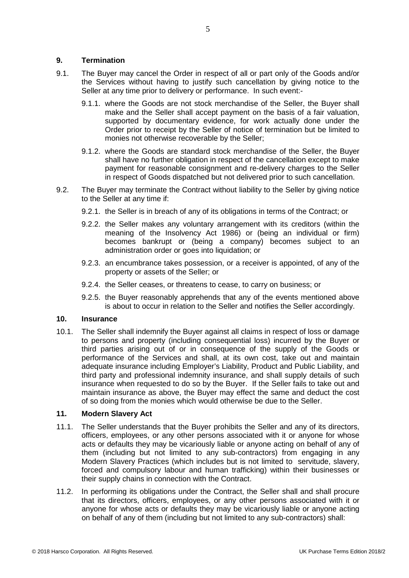# **9. Termination**

- 9.1. The Buyer may cancel the Order in respect of all or part only of the Goods and/or the Services without having to justify such cancellation by giving notice to the Seller at any time prior to delivery or performance. In such event:-
	- 9.1.1. where the Goods are not stock merchandise of the Seller, the Buyer shall make and the Seller shall accept payment on the basis of a fair valuation, supported by documentary evidence, for work actually done under the Order prior to receipt by the Seller of notice of termination but be limited to monies not otherwise recoverable by the Seller;
	- 9.1.2. where the Goods are standard stock merchandise of the Seller, the Buyer shall have no further obligation in respect of the cancellation except to make payment for reasonable consignment and re-delivery charges to the Seller in respect of Goods dispatched but not delivered prior to such cancellation.
- 9.2. The Buyer may terminate the Contract without liability to the Seller by giving notice to the Seller at any time if:
	- 9.2.1. the Seller is in breach of any of its obligations in terms of the Contract; or
	- 9.2.2. the Seller makes any voluntary arrangement with its creditors (within the meaning of the Insolvency Act 1986) or (being an individual or firm) becomes bankrupt or (being a company) becomes subject to an administration order or goes into liquidation; or
	- 9.2.3. an encumbrance takes possession, or a receiver is appointed, of any of the property or assets of the Seller; or
	- 9.2.4. the Seller ceases, or threatens to cease, to carry on business; or
	- 9.2.5. the Buyer reasonably apprehends that any of the events mentioned above is about to occur in relation to the Seller and notifies the Seller accordingly.

### **10. Insurance**

10.1. The Seller shall indemnify the Buyer against all claims in respect of loss or damage to persons and property (including consequential loss) incurred by the Buyer or third parties arising out of or in consequence of the supply of the Goods or performance of the Services and shall, at its own cost, take out and maintain adequate insurance including Employer's Liability, Product and Public Liability, and third party and professional indemnity insurance, and shall supply details of such insurance when requested to do so by the Buyer. If the Seller fails to take out and maintain insurance as above, the Buyer may effect the same and deduct the cost of so doing from the monies which would otherwise be due to the Seller.

# **11. Modern Slavery Act**

- 11.1. The Seller understands that the Buyer prohibits the Seller and any of its directors, officers, employees, or any other persons associated with it or anyone for whose acts or defaults they may be vicariously liable or anyone acting on behalf of any of them (including but not limited to any sub-contractors) from engaging in any Modern Slavery Practices (which includes but is not limited to servitude, slavery, forced and compulsory labour and human trafficking) within their businesses or their supply chains in connection with the Contract.
- 11.2. In performing its obligations under the Contract, the Seller shall and shall procure that its directors, officers, employees, or any other persons associated with it or anyone for whose acts or defaults they may be vicariously liable or anyone acting on behalf of any of them (including but not limited to any sub-contractors) shall: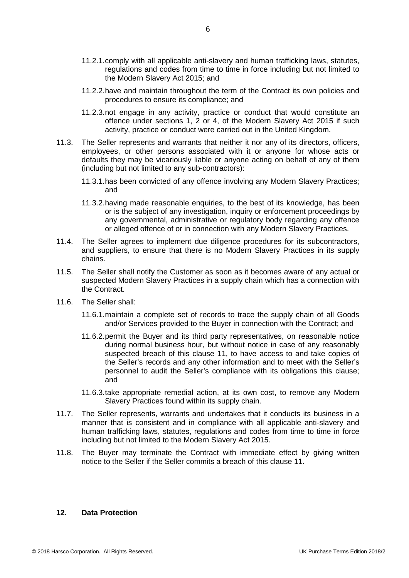- 11.2.1.comply with all applicable anti-slavery and human trafficking laws, statutes, regulations and codes from time to time in force including but not limited to the Modern Slavery Act 2015; and
- 11.2.2.have and maintain throughout the term of the Contract its own policies and procedures to ensure its compliance; and
- 11.2.3.not engage in any activity, practice or conduct that would constitute an offence under sections 1, 2 or 4, of the Modern Slavery Act 2015 if such activity, practice or conduct were carried out in the United Kingdom.
- 11.3. The Seller represents and warrants that neither it nor any of its directors, officers, employees, or other persons associated with it or anyone for whose acts or defaults they may be vicariously liable or anyone acting on behalf of any of them (including but not limited to any sub-contractors):
	- 11.3.1.has been convicted of any offence involving any Modern Slavery Practices; and
	- 11.3.2.having made reasonable enquiries, to the best of its knowledge, has been or is the subject of any investigation, inquiry or enforcement proceedings by any governmental, administrative or regulatory body regarding any offence or alleged offence of or in connection with any Modern Slavery Practices.
- 11.4. The Seller agrees to implement due diligence procedures for its subcontractors, and suppliers, to ensure that there is no Modern Slavery Practices in its supply chains.
- 11.5. The Seller shall notify the Customer as soon as it becomes aware of any actual or suspected Modern Slavery Practices in a supply chain which has a connection with the Contract.
- 11.6. The Seller shall:
	- 11.6.1.maintain a complete set of records to trace the supply chain of all Goods and/or Services provided to the Buyer in connection with the Contract; and
	- 11.6.2.permit the Buyer and its third party representatives, on reasonable notice during normal business hour, but without notice in case of any reasonably suspected breach of this clause 11, to have access to and take copies of the Seller's records and any other information and to meet with the Seller's personnel to audit the Seller's compliance with its obligations this clause; and
	- 11.6.3.take appropriate remedial action, at its own cost, to remove any Modern Slavery Practices found within its supply chain.
- 11.7. The Seller represents, warrants and undertakes that it conducts its business in a manner that is consistent and in compliance with all applicable anti-slavery and human trafficking laws, statutes, regulations and codes from time to time in force including but not limited to the Modern Slavery Act 2015.
- 11.8. The Buyer may terminate the Contract with immediate effect by giving written notice to the Seller if the Seller commits a breach of this clause 11.

#### **12. Data Protection**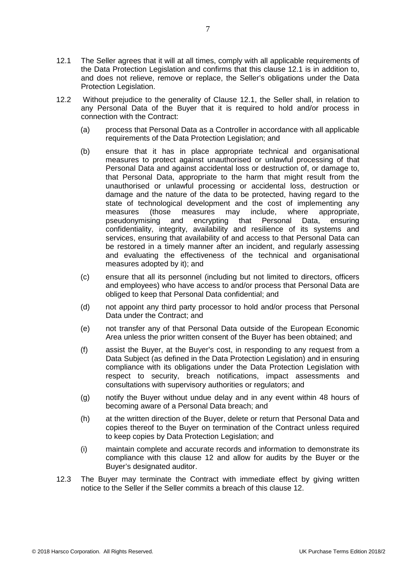- 12.1 The Seller agrees that it will at all times, comply with all applicable requirements of the Data Protection Legislation and confirms that this clause 12.1 is in addition to, and does not relieve, remove or replace, the Seller's obligations under the Data Protection Legislation.
- 12.2 Without prejudice to the generality of Clause 12.1, the Seller shall, in relation to any Personal Data of the Buyer that it is required to hold and/or process in connection with the Contract:
	- (a) process that Personal Data as a Controller in accordance with all applicable requirements of the Data Protection Legislation; and
	- (b) ensure that it has in place appropriate technical and organisational measures to protect against unauthorised or unlawful processing of that Personal Data and against accidental loss or destruction of, or damage to, that Personal Data, appropriate to the harm that might result from the unauthorised or unlawful processing or accidental loss, destruction or damage and the nature of the data to be protected, having regard to the state of technological development and the cost of implementing any measures (those measures may include, where appropriate, pseudonymising and encrypting that Personal Data, ensuring pseudonymising confidentiality, integrity, availability and resilience of its systems and services, ensuring that availability of and access to that Personal Data can be restored in a timely manner after an incident, and regularly assessing and evaluating the effectiveness of the technical and organisational measures adopted by it); and
	- (c) ensure that all its personnel (including but not limited to directors, officers and employees) who have access to and/or process that Personal Data are obliged to keep that Personal Data confidential; and
	- (d) not appoint any third party processor to hold and/or process that Personal Data under the Contract; and
	- (e) not transfer any of that Personal Data outside of the European Economic Area unless the prior written consent of the Buyer has been obtained; and
	- (f) assist the Buyer, at the Buyer's cost, in responding to any request from a Data Subject (as defined in the Data Protection Legislation) and in ensuring compliance with its obligations under the Data Protection Legislation with respect to security, breach notifications, impact assessments and consultations with supervisory authorities or regulators; and
	- (g) notify the Buyer without undue delay and in any event within 48 hours of becoming aware of a Personal Data breach; and
	- (h) at the written direction of the Buyer, delete or return that Personal Data and copies thereof to the Buyer on termination of the Contract unless required to keep copies by Data Protection Legislation; and
	- (i) maintain complete and accurate records and information to demonstrate its compliance with this clause 12 and allow for audits by the Buyer or the Buyer's designated auditor.
- 12.3 The Buyer may terminate the Contract with immediate effect by giving written notice to the Seller if the Seller commits a breach of this clause 12.